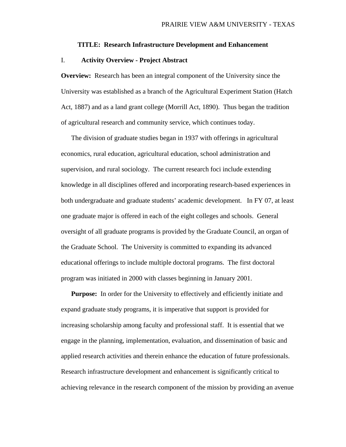#### **TITLE: Research Infrastructure Development and Enhancement**

### I. **Activity Overview - Project Abstract**

**Overview:** Research has been an integral component of the University since the University was established as a branch of the Agricultural Experiment Station (Hatch Act, 1887) and as a land grant college (Morrill Act, 1890). Thus began the tradition of agricultural research and community service, which continues today.

The division of graduate studies began in 1937 with offerings in agricultural economics, rural education, agricultural education, school administration and supervision, and rural sociology. The current research foci include extending knowledge in all disciplines offered and incorporating research-based experiences in both undergraduate and graduate students' academic development. In FY 07, at least one graduate major is offered in each of the eight colleges and schools. General oversight of all graduate programs is provided by the Graduate Council, an organ of the Graduate School. The University is committed to expanding its advanced educational offerings to include multiple doctoral programs. The first doctoral program was initiated in 2000 with classes beginning in January 2001.

**Purpose:** In order for the University to effectively and efficiently initiate and expand graduate study programs, it is imperative that support is provided for increasing scholarship among faculty and professional staff. It is essential that we engage in the planning, implementation, evaluation, and dissemination of basic and applied research activities and therein enhance the education of future professionals. Research infrastructure development and enhancement is significantly critical to achieving relevance in the research component of the mission by providing an avenue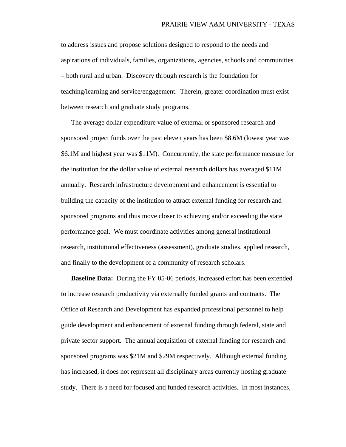to address issues and propose solutions designed to respond to the needs and aspirations of individuals, families, organizations, agencies, schools and communities – both rural and urban. Discovery through research is the foundation for teaching/learning and service/engagement. Therein, greater coordination must exist between research and graduate study programs.

The average dollar expenditure value of external or sponsored research and sponsored project funds over the past eleven years has been \$8.6M (lowest year was \$6.1M and highest year was \$11M). Concurrently, the state performance measure for the institution for the dollar value of external research dollars has averaged \$11M annually. Research infrastructure development and enhancement is essential to building the capacity of the institution to attract external funding for research and sponsored programs and thus move closer to achieving and/or exceeding the state performance goal. We must coordinate activities among general institutional research, institutional effectiveness (assessment), graduate studies, applied research, and finally to the development of a community of research scholars.

**Baseline Data:** During the FY 05-06 periods, increased effort has been extended to increase research productivity via externally funded grants and contracts. The Office of Research and Development has expanded professional personnel to help guide development and enhancement of external funding through federal, state and private sector support. The annual acquisition of external funding for research and sponsored programs was \$21M and \$29M respectively. Although external funding has increased, it does not represent all disciplinary areas currently hosting graduate study. There is a need for focused and funded research activities. In most instances,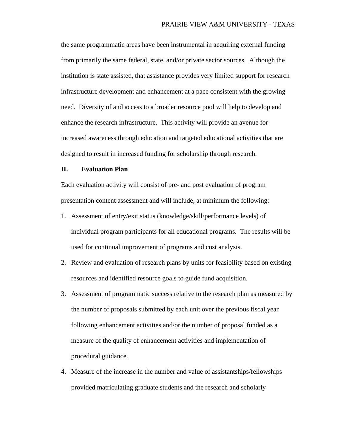the same programmatic areas have been instrumental in acquiring external funding from primarily the same federal, state, and/or private sector sources. Although the institution is state assisted, that assistance provides very limited support for research infrastructure development and enhancement at a pace consistent with the growing need. Diversity of and access to a broader resource pool will help to develop and enhance the research infrastructure. This activity will provide an avenue for increased awareness through education and targeted educational activities that are designed to result in increased funding for scholarship through research.

#### **II. Evaluation Plan**

Each evaluation activity will consist of pre- and post evaluation of program presentation content assessment and will include, at minimum the following:

- 1. Assessment of entry/exit status (knowledge/skill/performance levels) of individual program participants for all educational programs. The results will be used for continual improvement of programs and cost analysis.
- 2. Review and evaluation of research plans by units for feasibility based on existing resources and identified resource goals to guide fund acquisition.
- 3. Assessment of programmatic success relative to the research plan as measured by the number of proposals submitted by each unit over the previous fiscal year following enhancement activities and/or the number of proposal funded as a measure of the quality of enhancement activities and implementation of procedural guidance.
- 4. Measure of the increase in the number and value of assistantships/fellowships provided matriculating graduate students and the research and scholarly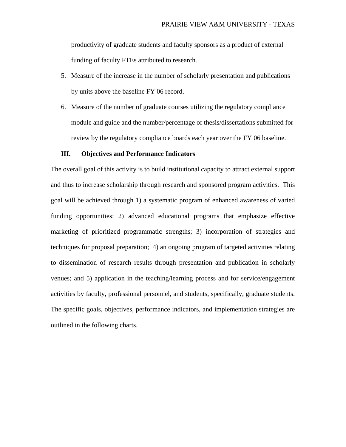productivity of graduate students and faculty sponsors as a product of external funding of faculty FTEs attributed to research.

- 5. Measure of the increase in the number of scholarly presentation and publications by units above the baseline FY 06 record.
- 6. Measure of the number of graduate courses utilizing the regulatory compliance module and guide and the number/percentage of thesis/dissertations submitted for review by the regulatory compliance boards each year over the FY 06 baseline.

#### **III. Objectives and Performance Indicators**

The overall goal of this activity is to build institutional capacity to attract external support and thus to increase scholarship through research and sponsored program activities. This goal will be achieved through 1) a systematic program of enhanced awareness of varied funding opportunities; 2) advanced educational programs that emphasize effective marketing of prioritized programmatic strengths; 3) incorporation of strategies and techniques for proposal preparation; 4) an ongoing program of targeted activities relating to dissemination of research results through presentation and publication in scholarly venues; and 5) application in the teaching/learning process and for service/engagement activities by faculty, professional personnel, and students, specifically, graduate students. The specific goals, objectives, performance indicators, and implementation strategies are outlined in the following charts.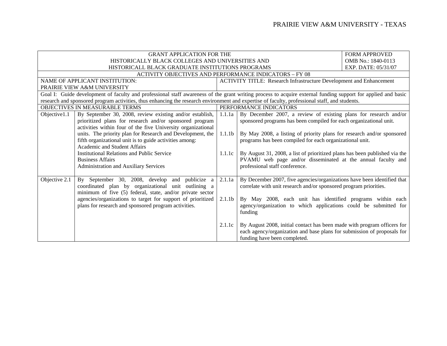|               | <b>GRANT APPLICATION FOR THE</b>                                                                                                                                                                                                                                                                               |                              |                                                                                                                                                                                                            | <b>FORM APPROVED</b> |
|---------------|----------------------------------------------------------------------------------------------------------------------------------------------------------------------------------------------------------------------------------------------------------------------------------------------------------------|------------------------------|------------------------------------------------------------------------------------------------------------------------------------------------------------------------------------------------------------|----------------------|
|               | HISTORICALLY BLACK COLLEGES AND UNIVERSITIES AND                                                                                                                                                                                                                                                               |                              |                                                                                                                                                                                                            | OMB No.: 1840-0113   |
|               | HISTORICALL BLACK GRADUATE INSTITUTIONS PROGRAMS                                                                                                                                                                                                                                                               |                              |                                                                                                                                                                                                            | EXP. DATE: 05/31/07  |
|               | <b>ACTIVITY OBJECTIVES AND PERFORMANCE INDICATORS - FY 08</b>                                                                                                                                                                                                                                                  |                              |                                                                                                                                                                                                            |                      |
|               | NAME OF APPLICANT INSTITUTION:                                                                                                                                                                                                                                                                                 |                              | <b>ACTIVITY TITLE: Research Infrastructure Development and Enhancement</b>                                                                                                                                 |                      |
|               | PRAIRIE VIEW A&M UNIVERSITY                                                                                                                                                                                                                                                                                    |                              |                                                                                                                                                                                                            |                      |
|               | Goal I: Guide development of faculty and professional staff awareness of the grant writing process to acquire external funding support for applied and basic<br>research and sponsored program activities, thus enhancing the research environment and expertise of faculty, professional staff, and students. |                              |                                                                                                                                                                                                            |                      |
|               | OBJECTIVES IN MEASURABLE TERMS                                                                                                                                                                                                                                                                                 |                              | PERFORMANCE INDICATORS                                                                                                                                                                                     |                      |
| Objective1.1  | By September 30, 2008, review existing and/or establish,<br>prioritized plans for research and/or sponsored program<br>activities within four of the five University organizational                                                                                                                            | 1.1.1a                       | By December 2007, a review of existing plans for research and/or<br>sponsored programs has been compiled for each organizational unit.                                                                     |                      |
|               | units. The priority plan for Research and Development, the<br>fifth organizational unit is to guide activities among:<br><b>Academic and Student Affairs</b>                                                                                                                                                   | 1.1.1 <sub>b</sub>           | By May 2008, a listing of priority plans for research and/or sponsored<br>programs has been compiled for each organizational unit.                                                                         |                      |
|               | <b>Institutional Relations and Public Service</b><br><b>Business Affairs</b><br><b>Administration and Auxiliary Services</b>                                                                                                                                                                                   | 1.1.1c                       | By August 31, 2008, a list of prioritized plans has been published via the<br>PVAMU web page and/or disseminated at the annual faculty and<br>professional staff conference.                               |                      |
| Objective 2.1 | September 30, 2008, develop and publicize<br>Bv<br>a<br>coordinated plan by organizational unit outlining a<br>minimum of five (5) federal, state, and/or private sector<br>agencies/organizations to target for support of prioritized                                                                        | 2.1.1a<br>2.1.1 <sub>b</sub> | By December 2007, five agencies/organizations have been identified that<br>correlate with unit research and/or sponsored program priorities.<br>By May 2008, each unit has identified programs within each |                      |
|               | plans for research and sponsored program activities.                                                                                                                                                                                                                                                           |                              | agency/organization to which applications could be submitted for<br>funding                                                                                                                                |                      |
|               |                                                                                                                                                                                                                                                                                                                | 2.1.1c                       | By August 2008, initial contact has been made with program officers for<br>each agency/organization and base plans for submission of proposals for<br>funding have been completed.                         |                      |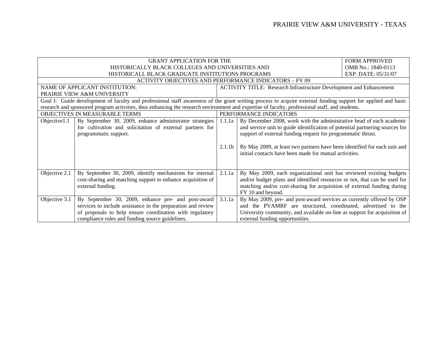|                                                                                                                                                | <b>GRANT APPLICATION FOR THE</b>                                                                                                                                                                                                  |                              |                                                                                                                                                                                                                                                                                                                                                             | <b>FORM APPROVED</b> |
|------------------------------------------------------------------------------------------------------------------------------------------------|-----------------------------------------------------------------------------------------------------------------------------------------------------------------------------------------------------------------------------------|------------------------------|-------------------------------------------------------------------------------------------------------------------------------------------------------------------------------------------------------------------------------------------------------------------------------------------------------------------------------------------------------------|----------------------|
|                                                                                                                                                | HISTORICALLY BLACK COLLEGES AND UNIVERSITIES AND                                                                                                                                                                                  |                              |                                                                                                                                                                                                                                                                                                                                                             | OMB No.: 1840-0113   |
|                                                                                                                                                | HISTORICALL BLACK GRADUATE INSTITUTIONS PROGRAMS                                                                                                                                                                                  |                              |                                                                                                                                                                                                                                                                                                                                                             | EXP. DATE: 05/31/07  |
|                                                                                                                                                | ACTIVITY OBJECTIVES AND PERFORMANCE INDICATORS – FY 09                                                                                                                                                                            |                              |                                                                                                                                                                                                                                                                                                                                                             |                      |
|                                                                                                                                                | NAME OF APPLICANT INSTITUTION:                                                                                                                                                                                                    |                              | <b>ACTIVITY TITLE: Research Infrastructure Development and Enhancement</b>                                                                                                                                                                                                                                                                                  |                      |
|                                                                                                                                                | PRAIRIE VIEW A&M UNIVERSITY                                                                                                                                                                                                       |                              |                                                                                                                                                                                                                                                                                                                                                             |                      |
|                                                                                                                                                | Goal I: Guide development of faculty and professional staff awareness of the grant writing process to acquire external funding support for applied and basic                                                                      |                              |                                                                                                                                                                                                                                                                                                                                                             |                      |
| research and sponsored program activities, thus enhancing the research environment and expertise of faculty, professional staff, and students. |                                                                                                                                                                                                                                   |                              |                                                                                                                                                                                                                                                                                                                                                             |                      |
| OBJECTIVES IN MEASURABLE TERMS                                                                                                                 |                                                                                                                                                                                                                                   |                              | PERFORMANCE INDICATORS                                                                                                                                                                                                                                                                                                                                      |                      |
| Objective1.1                                                                                                                                   | By September 30, 2009, enhance administrator strategies<br>for cultivation and solicitation of external partners for<br>programmatic support.                                                                                     | 1.1.1a<br>2.1.1 <sub>b</sub> | By December 2008, work with the administrative head of each academic<br>and service unit to guide identification of potential partnering sources for<br>support of external funding request for programmatic thrust.<br>By May 2009, at least two partners have been identified for each unit and<br>initial contacts have been made for mutual activities. |                      |
| Objective 2.1                                                                                                                                  | By September 30, 2009, identify mechanisms for internal<br>cost-sharing and matching support to enhance acquisition of<br>external funding.                                                                                       | 2.1.1a                       | By May 2009, each organizational unit has reviewed existing budgets<br>and/or budget plans and identified resources or not, that can be used for<br>matching and/or cost-sharing for acquisition of external funding during<br>FY 10 and beyond.                                                                                                            |                      |
| Objective 3.1                                                                                                                                  | By September 30, 2009, enhance pre- and post-award<br>services to include assistance in the preparation and review<br>of proposals to help ensure coordination with regulatory<br>compliance rules and funding source guidelines. | 3.1.1a                       | By May 2009, pre- and post-award services as currently offered by OSP<br>and the PVAMRF are structured, coordinated, advertised to the<br>University community, and available on-line as support for acquisition of<br>external funding opportunities.                                                                                                      |                      |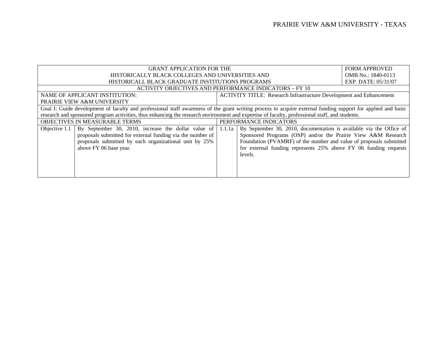|                                                                                                                                                              | <b>GRANT APPLICATION FOR THE</b>                                                                                                               |                        |                                                                            | <b>FORM APPROVED</b> |
|--------------------------------------------------------------------------------------------------------------------------------------------------------------|------------------------------------------------------------------------------------------------------------------------------------------------|------------------------|----------------------------------------------------------------------------|----------------------|
|                                                                                                                                                              | HISTORICALLY BLACK COLLEGES AND UNIVERSITIES AND                                                                                               |                        |                                                                            | OMB No.: 1840-0113   |
|                                                                                                                                                              | HISTORICALL BLACK GRADUATE INSTITUTIONS PROGRAMS                                                                                               |                        |                                                                            | EXP. DATE: 05/31/07  |
|                                                                                                                                                              | <b>ACTIVITY OBJECTIVES AND PERFORMANCE INDICATORS - FY 10</b>                                                                                  |                        |                                                                            |                      |
|                                                                                                                                                              | NAME OF APPLICANT INSTITUTION:                                                                                                                 |                        | <b>ACTIVITY TITLE: Research Infrastructure Development and Enhancement</b> |                      |
|                                                                                                                                                              | <b>PRAIRIE VIEW A&amp;M UNIVERSITY</b>                                                                                                         |                        |                                                                            |                      |
| Goal I: Guide development of faculty and professional staff awareness of the grant writing process to acquire external funding support for applied and basic |                                                                                                                                                |                        |                                                                            |                      |
|                                                                                                                                                              | research and sponsored program activities, thus enhancing the research environment and expertise of faculty, professional staff, and students. |                        |                                                                            |                      |
|                                                                                                                                                              | OBJECTIVES IN MEASURABLE TERMS                                                                                                                 | PERFORMANCE INDICATORS |                                                                            |                      |
| Objective 1.1                                                                                                                                                | By September 30, 2010, increase the dollar value of                                                                                            | 1.1.1a                 | By September 30, 2010, documentation is available via the Office of        |                      |
|                                                                                                                                                              | proposals submitted for external funding via the number of                                                                                     |                        | Sponsored Programs (OSP) and/or the Prairie View A&M Research              |                      |
|                                                                                                                                                              | proposals submitted by each organizational unit by 25%                                                                                         |                        | Foundation (PVAMRF) of the number and value of proposals submitted         |                      |
|                                                                                                                                                              | above FY 06 base year.                                                                                                                         |                        | for external funding represents 25% above FY 06 funding requests           |                      |
|                                                                                                                                                              |                                                                                                                                                |                        | levels.                                                                    |                      |
|                                                                                                                                                              |                                                                                                                                                |                        |                                                                            |                      |
|                                                                                                                                                              |                                                                                                                                                |                        |                                                                            |                      |
|                                                                                                                                                              |                                                                                                                                                |                        |                                                                            |                      |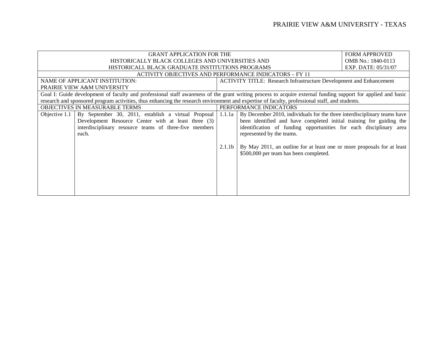|                                                  | <b>GRANT APPLICATION FOR THE</b>                                                                                                                             |                    |                                                                            | <b>FORM APPROVED</b> |
|--------------------------------------------------|--------------------------------------------------------------------------------------------------------------------------------------------------------------|--------------------|----------------------------------------------------------------------------|----------------------|
| HISTORICALLY BLACK COLLEGES AND UNIVERSITIES AND |                                                                                                                                                              |                    |                                                                            | OMB No.: 1840-0113   |
|                                                  | HISTORICALL BLACK GRADUATE INSTITUTIONS PROGRAMS                                                                                                             |                    |                                                                            | EXP. DATE: 05/31/07  |
|                                                  | <b>ACTIVITY OBJECTIVES AND PERFORMANCE INDICATORS – FY 11</b>                                                                                                |                    |                                                                            |                      |
|                                                  | NAME OF APPLICANT INSTITUTION:                                                                                                                               |                    | <b>ACTIVITY TITLE: Research Infrastructure Development and Enhancement</b> |                      |
|                                                  | <b>PRAIRIE VIEW A&amp;M UNIVERSITY</b>                                                                                                                       |                    |                                                                            |                      |
|                                                  | Goal I: Guide development of faculty and professional staff awareness of the grant writing process to acquire external funding support for applied and basic |                    |                                                                            |                      |
|                                                  | research and sponsored program activities, thus enhancing the research environment and expertise of faculty, professional staff, and students.               |                    |                                                                            |                      |
| <b>OBJECTIVES IN MEASURABLE TERMS</b>            |                                                                                                                                                              |                    | PERFORMANCE INDICATORS                                                     |                      |
| Objective 1.1                                    | By September 30, 2011, establish a virtual Proposal                                                                                                          | 1.1.1a             | By December 2010, individuals for the three interdisciplinary teams have   |                      |
|                                                  | Development Resource Center with at least three (3)                                                                                                          |                    | been identified and have completed initial training for guiding the        |                      |
|                                                  | interdisciplinary resource teams of three-five members                                                                                                       |                    | identification of funding opportunities for each disciplinary area         |                      |
|                                                  | each.                                                                                                                                                        |                    | represented by the teams.                                                  |                      |
|                                                  |                                                                                                                                                              |                    |                                                                            |                      |
|                                                  |                                                                                                                                                              | 2.1.1 <sub>b</sub> | By May 2011, an outline for at least one or more proposals for at least    |                      |
|                                                  |                                                                                                                                                              |                    | \$500,000 per team has been completed.                                     |                      |
|                                                  |                                                                                                                                                              |                    |                                                                            |                      |
|                                                  |                                                                                                                                                              |                    |                                                                            |                      |
|                                                  |                                                                                                                                                              |                    |                                                                            |                      |
|                                                  |                                                                                                                                                              |                    |                                                                            |                      |
|                                                  |                                                                                                                                                              |                    |                                                                            |                      |
|                                                  |                                                                                                                                                              |                    |                                                                            |                      |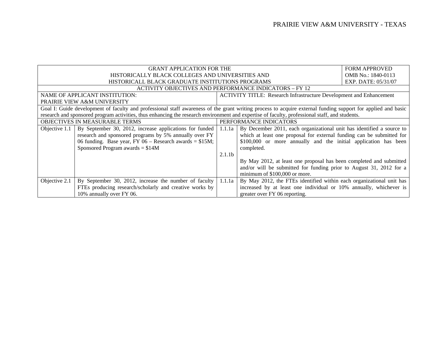|                                                                                                                                                              | <b>GRANT APPLICATION FOR THE</b>                                                                                                               |                    |                                                                            | <b>FORM APPROVED</b> |
|--------------------------------------------------------------------------------------------------------------------------------------------------------------|------------------------------------------------------------------------------------------------------------------------------------------------|--------------------|----------------------------------------------------------------------------|----------------------|
|                                                                                                                                                              | HISTORICALLY BLACK COLLEGES AND UNIVERSITIES AND                                                                                               |                    |                                                                            | OMB No.: 1840-0113   |
|                                                                                                                                                              | HISTORICALL BLACK GRADUATE INSTITUTIONS PROGRAMS                                                                                               |                    |                                                                            | EXP. DATE: 05/31/07  |
|                                                                                                                                                              | <b>ACTIVITY OBJECTIVES AND PERFORMANCE INDICATORS – FY 12</b>                                                                                  |                    |                                                                            |                      |
|                                                                                                                                                              | <b>NAME OF APPLICANT INSTITUTION:</b>                                                                                                          |                    | <b>ACTIVITY TITLE: Research Infrastructure Development and Enhancement</b> |                      |
|                                                                                                                                                              | <b>PRAIRIE VIEW A&amp;M UNIVERSITY</b>                                                                                                         |                    |                                                                            |                      |
| Goal I: Guide development of faculty and professional staff awareness of the grant writing process to acquire external funding support for applied and basic |                                                                                                                                                |                    |                                                                            |                      |
|                                                                                                                                                              | research and sponsored program activities, thus enhancing the research environment and expertise of faculty, professional staff, and students. |                    |                                                                            |                      |
| OBJECTIVES IN MEASURABLE TERMS                                                                                                                               |                                                                                                                                                |                    | PERFORMANCE INDICATORS                                                     |                      |
| Objective 1.1                                                                                                                                                | By September 30, 2012, increase applications for funded                                                                                        | 1.1.1a             | By December 2011, each organizational unit has identified a source to      |                      |
|                                                                                                                                                              | research and sponsored programs by 5% annually over FY                                                                                         |                    | which at least one proposal for external funding can be submitted for      |                      |
|                                                                                                                                                              | 06 funding. Base year, FY 06 – Research awards = $$15M$ ;                                                                                      |                    | \$100,000 or more annually and the initial application has been            |                      |
|                                                                                                                                                              | Sponsored Program awards $= $14M$                                                                                                              |                    | completed.                                                                 |                      |
|                                                                                                                                                              |                                                                                                                                                | 2.1.1 <sub>b</sub> |                                                                            |                      |
|                                                                                                                                                              |                                                                                                                                                |                    | By May 2012, at least one proposal has been completed and submitted        |                      |
|                                                                                                                                                              |                                                                                                                                                |                    | and/or will be submitted for funding prior to August 31, 2012 for a        |                      |
|                                                                                                                                                              |                                                                                                                                                |                    | minimum of \$100,000 or more.                                              |                      |
| Objective 2.1                                                                                                                                                | By September 30, 2012, increase the number of faculty                                                                                          | 1.1.1a             | By May 2012, the FTEs identified within each organizational unit has       |                      |
|                                                                                                                                                              | FTEs producing research/scholarly and creative works by                                                                                        |                    | increased by at least one individual or 10% annually, whichever is         |                      |
|                                                                                                                                                              | 10% annually over FY 06.                                                                                                                       |                    | greater over FY 06 reporting.                                              |                      |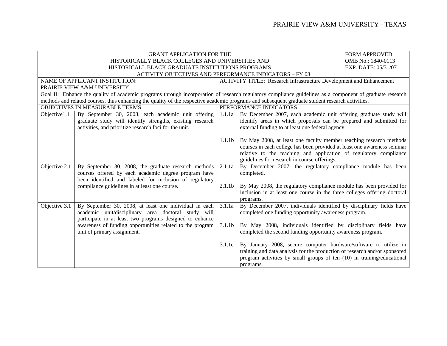| <b>GRANT APPLICATION FOR THE</b> |                                                                                                                                                                           |                                                                                                                                                                                                        |                                                                                                                                                                                                                                                                     | <b>FORM APPROVED</b> |  |
|----------------------------------|---------------------------------------------------------------------------------------------------------------------------------------------------------------------------|--------------------------------------------------------------------------------------------------------------------------------------------------------------------------------------------------------|---------------------------------------------------------------------------------------------------------------------------------------------------------------------------------------------------------------------------------------------------------------------|----------------------|--|
|                                  | HISTORICALLY BLACK COLLEGES AND UNIVERSITIES AND                                                                                                                          |                                                                                                                                                                                                        |                                                                                                                                                                                                                                                                     | OMB No.: 1840-0113   |  |
|                                  | HISTORICALL BLACK GRADUATE INSTITUTIONS PROGRAMS                                                                                                                          | EXP. DATE: 05/31/07                                                                                                                                                                                    |                                                                                                                                                                                                                                                                     |                      |  |
|                                  | <b>ACTIVITY OBJECTIVES AND PERFORMANCE INDICATORS - FY 08</b>                                                                                                             |                                                                                                                                                                                                        |                                                                                                                                                                                                                                                                     |                      |  |
|                                  | NAME OF APPLICANT INSTITUTION:                                                                                                                                            |                                                                                                                                                                                                        | <b>ACTIVITY TITLE: Research Infrastructure Development and Enhancement</b>                                                                                                                                                                                          |                      |  |
|                                  | PRAIRIE VIEW A&M UNIVERSITY                                                                                                                                               |                                                                                                                                                                                                        |                                                                                                                                                                                                                                                                     |                      |  |
|                                  | Goal II: Enhance the quality of academic programs through incorporation of research regulatory compliance guidelines as a component of graduate research                  |                                                                                                                                                                                                        |                                                                                                                                                                                                                                                                     |                      |  |
|                                  | methods and related courses, thus enhancing the quality of the respective academic programs and subsequent graduate student research activities.                          |                                                                                                                                                                                                        |                                                                                                                                                                                                                                                                     |                      |  |
|                                  | OBJECTIVES IN MEASURABLE TERMS                                                                                                                                            |                                                                                                                                                                                                        | PERFORMANCE INDICATORS                                                                                                                                                                                                                                              |                      |  |
| Objective1.1                     | By September 30, 2008, each academic unit offering<br>graduate study will identify strengths, existing research<br>activities, and prioritize research foci for the unit. | By December 2007, each academic unit offering graduate study will<br>1.1.1a<br>identify areas in which proposals can be prepared and submitted for<br>external funding to at least one federal agency. |                                                                                                                                                                                                                                                                     |                      |  |
|                                  |                                                                                                                                                                           | 1.1.1 <sub>b</sub>                                                                                                                                                                                     | By May 2008, at least one faculty member teaching research methods<br>courses in each college has been provided at least one awareness seminar<br>relative to the teaching and application of regulatory compliance<br>guidelines for research in course offerings. |                      |  |
| Objective 2.1                    | By September 30, 2008, the graduate research methods<br>courses offered by each academic degree program have<br>been identified and labeled for inclusion of regulatory   | 2.1.1a<br>By December 2007, the regulatory compliance module has been<br>completed.                                                                                                                    |                                                                                                                                                                                                                                                                     |                      |  |
|                                  | compliance guidelines in at least one course.                                                                                                                             | 2.1.1 <sub>b</sub>                                                                                                                                                                                     | By May 2008, the regulatory compliance module has been provided for<br>inclusion in at least one course in the three colleges offering doctoral<br>programs.                                                                                                        |                      |  |
| Objective 3.1                    | By September 30, 2008, at least one individual in each<br>academic unit/disciplinary area doctoral study will<br>participate in at least two programs designed to enhance | 3.1.1a                                                                                                                                                                                                 | By December 2007, individuals identified by disciplinary fields have<br>completed one funding opportunity awareness program.                                                                                                                                        |                      |  |
|                                  | awareness of funding opportunities related to the program<br>unit of primary assignment.                                                                                  | 3.1.1 <sub>b</sub>                                                                                                                                                                                     | By May 2008, individuals identified by disciplinary fields have<br>completed the second funding opportunity awareness program.                                                                                                                                      |                      |  |
|                                  |                                                                                                                                                                           | 3.1.1c                                                                                                                                                                                                 | By January 2008, secure computer hardware/software to utilize in<br>training and data analysis for the production of research and/or sponsored<br>program activities by small groups of ten (10) in training/educational<br>programs.                               |                      |  |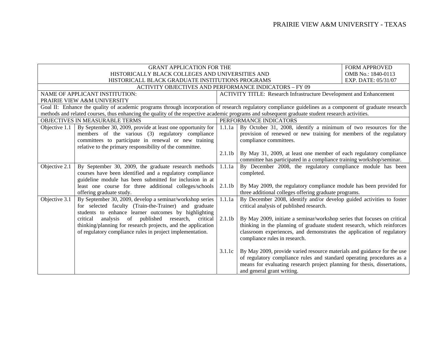|               | <b>GRANT APPLICATION FOR THE</b>                                                                                                                         |                    |                                                                            | <b>FORM APPROVED</b> |
|---------------|----------------------------------------------------------------------------------------------------------------------------------------------------------|--------------------|----------------------------------------------------------------------------|----------------------|
|               | HISTORICALLY BLACK COLLEGES AND UNIVERSITIES AND                                                                                                         |                    |                                                                            | OMB No.: 1840-0113   |
|               | HISTORICALL BLACK GRADUATE INSTITUTIONS PROGRAMS                                                                                                         |                    |                                                                            | EXP. DATE: 05/31/07  |
|               | <b>ACTIVITY OBJECTIVES AND PERFORMANCE INDICATORS - FY 09</b>                                                                                            |                    |                                                                            |                      |
|               | NAME OF APPLICANT INSTITUTION:                                                                                                                           |                    | <b>ACTIVITY TITLE: Research Infrastructure Development and Enhancement</b> |                      |
|               | PRAIRIE VIEW A&M UNIVERSITY                                                                                                                              |                    |                                                                            |                      |
|               | Goal II: Enhance the quality of academic programs through incorporation of research regulatory compliance guidelines as a component of graduate research |                    |                                                                            |                      |
|               | methods and related courses, thus enhancing the quality of the respective academic programs and subsequent graduate student research activities.         |                    |                                                                            |                      |
|               | OBJECTIVES IN MEASURABLE TERMS                                                                                                                           |                    | PERFORMANCE INDICATORS                                                     |                      |
| Objective 1.1 | By September 30, 2009, provide at least one opportunity for                                                                                              | 1.1.1a             | By October 31, 2008, identify a minimum of two resources for the           |                      |
|               | members of the various (3) regulatory compliance                                                                                                         |                    | provision of renewed or new training for members of the regulatory         |                      |
|               | committees to participate in renewal or new training                                                                                                     |                    | compliance committees.                                                     |                      |
|               | relative to the primary responsibility of the committee.                                                                                                 |                    |                                                                            |                      |
|               |                                                                                                                                                          | 2.1.1 <sub>b</sub> | By May 31, 2009, at least one member of each regulatory compliance         |                      |
|               |                                                                                                                                                          |                    | committee has participated in a compliance training workshop/seminar.      |                      |
| Objective 2.1 | By September 30, 2009, the graduate research methods                                                                                                     | 1.1.1a             | By December 2008, the regulatory compliance module has been                |                      |
|               | courses have been identified and a regulatory compliance                                                                                                 |                    | completed.                                                                 |                      |
|               | guideline module has been submitted for inclusion in at                                                                                                  |                    |                                                                            |                      |
|               | least one course for three additional colleges/schools                                                                                                   | 2.1.1 <sub>b</sub> | By May 2009, the regulatory compliance module has been provided for        |                      |
|               | offering graduate study.                                                                                                                                 |                    | three additional colleges offering graduate programs.                      |                      |
| Objective 3.1 | By September 30, 2009, develop a seminar/workshop series                                                                                                 | 1.1.1a             | By December 2008, identify and/or develop guided activities to foster      |                      |
|               | for selected faculty (Train-the-Trainer) and graduate                                                                                                    |                    | critical analysis of published research.                                   |                      |
|               | students to enhance learner outcomes by highlighting                                                                                                     |                    |                                                                            |                      |
|               | analysis of published research,<br>critical<br>critical                                                                                                  | 2.1.1 <sub>b</sub> | By May 2009, initiate a seminar/workshop series that focuses on critical   |                      |
|               | thinking/planning for research projects, and the application                                                                                             |                    | thinking in the planning of graduate student research, which reinforces    |                      |
|               | of regulatory compliance rules in project implementation.                                                                                                |                    | classroom experiences, and demonstrates the application of regulatory      |                      |
|               |                                                                                                                                                          |                    | compliance rules in research.                                              |                      |
|               |                                                                                                                                                          |                    |                                                                            |                      |
|               |                                                                                                                                                          | 3.1.1c             | By May 2009, provide varied resource materials and guidance for the use    |                      |
|               |                                                                                                                                                          |                    | of regulatory compliance rules and standard operating procedures as a      |                      |
|               |                                                                                                                                                          |                    | means for evaluating research project planning for thesis, dissertations,  |                      |
|               |                                                                                                                                                          |                    | and general grant writing.                                                 |                      |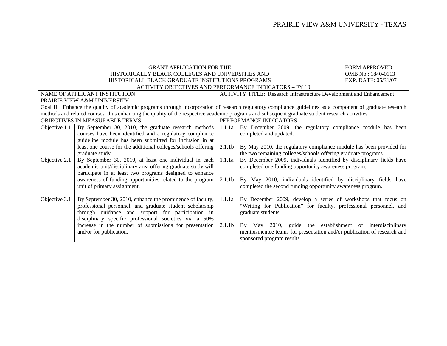|               | <b>GRANT APPLICATION FOR THE</b>                                                                                                                         |                                                                       |                                                                            | <b>FORM APPROVED</b> |
|---------------|----------------------------------------------------------------------------------------------------------------------------------------------------------|-----------------------------------------------------------------------|----------------------------------------------------------------------------|----------------------|
|               | HISTORICALLY BLACK COLLEGES AND UNIVERSITIES AND                                                                                                         |                                                                       |                                                                            | OMB No.: 1840-0113   |
|               | HISTORICALL BLACK GRADUATE INSTITUTIONS PROGRAMS                                                                                                         |                                                                       |                                                                            | EXP. DATE: 05/31/07  |
|               | <b>ACTIVITY OBJECTIVES AND PERFORMANCE INDICATORS - FY 10</b>                                                                                            |                                                                       |                                                                            |                      |
|               | NAME OF APPLICANT INSTITUTION:                                                                                                                           |                                                                       | <b>ACTIVITY TITLE: Research Infrastructure Development and Enhancement</b> |                      |
|               | PRAIRIE VIEW A&M UNIVERSITY                                                                                                                              |                                                                       |                                                                            |                      |
|               | Goal II: Enhance the quality of academic programs through incorporation of research regulatory compliance guidelines as a component of graduate research |                                                                       |                                                                            |                      |
|               | methods and related courses, thus enhancing the quality of the respective academic programs and subsequent graduate student research activities.         |                                                                       |                                                                            |                      |
|               | OBJECTIVES IN MEASURABLE TERMS                                                                                                                           |                                                                       | PERFORMANCE INDICATORS                                                     |                      |
| Objective 1.1 | By September 30, 2010, the graduate research methods                                                                                                     | 1.1.1a<br>By December 2009, the regulatory compliance module has been |                                                                            |                      |
|               | courses have been identified and a regulatory compliance                                                                                                 |                                                                       | completed and updated.                                                     |                      |
|               | guideline module has been submitted for inclusion in at                                                                                                  |                                                                       |                                                                            |                      |
|               | least one course for the additional colleges/schools offering                                                                                            | 2.1.1 <sub>b</sub>                                                    | By May 2010, the regulatory compliance module has been provided for        |                      |
|               | graduate study.                                                                                                                                          |                                                                       | the two remaining colleges/schools offering graduate programs.             |                      |
| Objective 2.1 | By September 30, 2010, at least one individual in each                                                                                                   | 1.1.1a                                                                | By December 2009, individuals identified by disciplinary fields have       |                      |
|               | academic unit/disciplinary area offering graduate study will                                                                                             |                                                                       | completed one funding opportunity awareness program.                       |                      |
|               | participate in at least two programs designed to enhance                                                                                                 |                                                                       |                                                                            |                      |
|               | awareness of funding opportunities related to the program                                                                                                | 2.1.1 <sub>b</sub>                                                    | By May 2010, individuals identified by disciplinary fields have            |                      |
|               | unit of primary assignment.                                                                                                                              |                                                                       | completed the second funding opportunity awareness program.                |                      |
|               |                                                                                                                                                          |                                                                       |                                                                            |                      |
| Objective 3.1 | By September 30, 2010, enhance the prominence of faculty,                                                                                                | 1.1.1a                                                                | By December 2009, develop a series of workshops that focus on              |                      |
|               | professional personnel, and graduate student scholarship                                                                                                 |                                                                       | "Writing for Publication" for faculty, professional personnel, and         |                      |
|               | through guidance and support for participation in                                                                                                        |                                                                       | graduate students.                                                         |                      |
|               | disciplinary specific professional societies via a 50%                                                                                                   |                                                                       |                                                                            |                      |
|               | increase in the number of submissions for presentation                                                                                                   | 2.1.1 <sub>b</sub>                                                    | By May 2010, guide the establishment of interdisciplinary                  |                      |
|               | and/or for publication.                                                                                                                                  |                                                                       | mentor/mentee teams for presentation and/or publication of research and    |                      |
|               |                                                                                                                                                          |                                                                       | sponsored program results.                                                 |                      |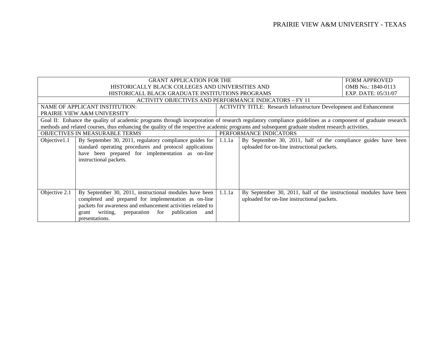| <b>GRANT APPLICATION FOR THE</b> |                                                                                                                                                          |        |                                                                            | <b>FORM APPROVED</b> |
|----------------------------------|----------------------------------------------------------------------------------------------------------------------------------------------------------|--------|----------------------------------------------------------------------------|----------------------|
|                                  | HISTORICALLY BLACK COLLEGES AND UNIVERSITIES AND                                                                                                         |        |                                                                            | OMB No.: 1840-0113   |
|                                  | HISTORICALL BLACK GRADUATE INSTITUTIONS PROGRAMS                                                                                                         |        |                                                                            | EXP. DATE: 05/31/07  |
|                                  | <b>ACTIVITY OBJECTIVES AND PERFORMANCE INDICATORS – FY 11</b>                                                                                            |        |                                                                            |                      |
|                                  | NAME OF APPLICANT INSTITUTION:                                                                                                                           |        | <b>ACTIVITY TITLE: Research Infrastructure Development and Enhancement</b> |                      |
|                                  | PRAIRIE VIEW A&M UNIVERSITY                                                                                                                              |        |                                                                            |                      |
|                                  | Goal II: Enhance the quality of academic programs through incorporation of research regulatory compliance guidelines as a component of graduate research |        |                                                                            |                      |
|                                  | methods and related courses, thus enhancing the quality of the respective academic programs and subsequent graduate student research activities.         |        |                                                                            |                      |
| OBJECTIVES IN MEASURABLE TERMS   |                                                                                                                                                          |        | PERFORMANCE INDICATORS                                                     |                      |
| Objective1.1                     | By September 30, 2011, regulatory compliance guides for                                                                                                  | 1.1.1a | By September 30, 2011, half of the compliance guides have been             |                      |
|                                  | standard operating procedures and protocol applications                                                                                                  |        | uploaded for on-line instructional packets.                                |                      |
|                                  | have been prepared for implementation as on-line                                                                                                         |        |                                                                            |                      |
|                                  | instructional packets.                                                                                                                                   |        |                                                                            |                      |
|                                  |                                                                                                                                                          |        |                                                                            |                      |
|                                  |                                                                                                                                                          |        |                                                                            |                      |
|                                  |                                                                                                                                                          |        |                                                                            |                      |
|                                  |                                                                                                                                                          |        |                                                                            |                      |
| Objective 2.1                    | By September 30, 2011, instructional modules have been                                                                                                   | 1.1.1a | By September 30, 2011, half of the instructional modules have been         |                      |
|                                  | completed and prepared for implementation as on-line                                                                                                     |        | uploaded for on-line instructional packets.                                |                      |
|                                  | packets for awareness and enhancement activities related to                                                                                              |        |                                                                            |                      |
|                                  | writing, preparation for publication<br>grant<br>and                                                                                                     |        |                                                                            |                      |
|                                  | presentations.                                                                                                                                           |        |                                                                            |                      |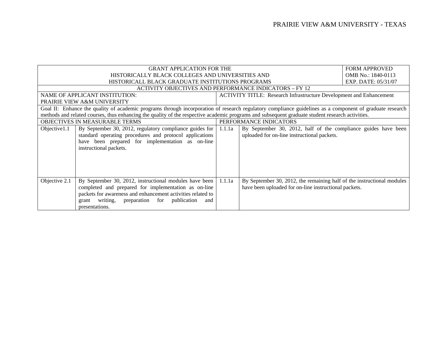|                                       | <b>GRANT APPLICATION FOR THE</b>                                                                                                                         |        |                                                                            | <b>FORM APPROVED</b> |
|---------------------------------------|----------------------------------------------------------------------------------------------------------------------------------------------------------|--------|----------------------------------------------------------------------------|----------------------|
|                                       | HISTORICALLY BLACK COLLEGES AND UNIVERSITIES AND                                                                                                         |        |                                                                            | OMB No.: 1840-0113   |
|                                       | HISTORICALL BLACK GRADUATE INSTITUTIONS PROGRAMS                                                                                                         |        |                                                                            | EXP. DATE: 05/31/07  |
|                                       | ACTIVITY OBJECTIVES AND PERFORMANCE INDICATORS – FY 12                                                                                                   |        |                                                                            |                      |
|                                       | NAME OF APPLICANT INSTITUTION:                                                                                                                           |        | <b>ACTIVITY TITLE: Research Infrastructure Development and Enhancement</b> |                      |
|                                       | PRAIRIE VIEW A&M UNIVERSITY                                                                                                                              |        |                                                                            |                      |
|                                       | Goal II: Enhance the quality of academic programs through incorporation of research regulatory compliance guidelines as a component of graduate research |        |                                                                            |                      |
|                                       | methods and related courses, thus enhancing the quality of the respective academic programs and subsequent graduate student research activities.         |        |                                                                            |                      |
| <b>OBJECTIVES IN MEASURABLE TERMS</b> |                                                                                                                                                          |        | PERFORMANCE INDICATORS                                                     |                      |
| Objective 1.1                         | By September 30, 2012, regulatory compliance guides for                                                                                                  | 1.1.1a | By September 30, 2012, half of the compliance guides have been             |                      |
|                                       | standard operating procedures and protocol applications                                                                                                  |        | uploaded for on-line instructional packets.                                |                      |
|                                       | have been prepared for implementation as on-line                                                                                                         |        |                                                                            |                      |
|                                       | instructional packets.                                                                                                                                   |        |                                                                            |                      |
|                                       |                                                                                                                                                          |        |                                                                            |                      |
|                                       |                                                                                                                                                          |        |                                                                            |                      |
|                                       |                                                                                                                                                          |        |                                                                            |                      |
|                                       |                                                                                                                                                          |        |                                                                            |                      |
| Objective 2.1                         | By September 30, 2012, instructional modules have been                                                                                                   | 1.1.1a | By September 30, 2012, the remaining half of the instructional modules     |                      |
|                                       | completed and prepared for implementation as on-line                                                                                                     |        | have been uploaded for on-line instructional packets.                      |                      |
|                                       | packets for awareness and enhancement activities related to                                                                                              |        |                                                                            |                      |
|                                       | publication<br>writing, preparation for<br>grant<br>and                                                                                                  |        |                                                                            |                      |
|                                       | presentations.                                                                                                                                           |        |                                                                            |                      |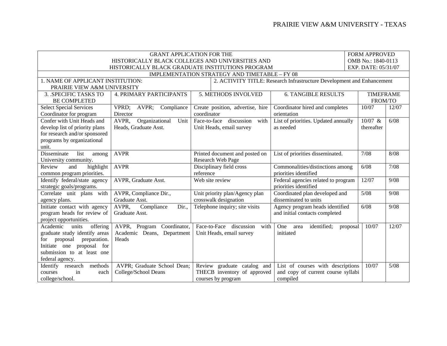| <b>GRANT APPLICATION FOR THE</b><br><b>FORM APPROVED</b> |                                 |                                                  |                                                                        |                     |       |  |
|----------------------------------------------------------|---------------------------------|--------------------------------------------------|------------------------------------------------------------------------|---------------------|-------|--|
|                                                          |                                 | HISTORICALLY BLACK COLLEGES AND UNIVERSITIES AND |                                                                        | OMB No.: 1840-0113  |       |  |
|                                                          |                                 | HISTORICALLY BLACK GRADUATE INSTITUTIONS PROGRAM |                                                                        | EXP. DATE: 05/31/07 |       |  |
|                                                          |                                 | IMPLEMENTATION STRATEGY AND TIMETABLE - FY 08    |                                                                        |                     |       |  |
| 1. NAME OF APPLICANT INSTITUTION:                        |                                 |                                                  | 2. ACTIVITY TITLE: Research Infrastructure Development and Enhancement |                     |       |  |
|                                                          | PRAIRIE VIEW A&M UNIVERSITY     |                                                  |                                                                        |                     |       |  |
| 3. SPECIFIC TASKS TO                                     | <b>4. PRIMARY PARTICIPANTS</b>  | 5. METHODS INVOLVED                              | <b>6. TANGIBLE RESULTS</b>                                             | <b>TIMEFRAME</b>    |       |  |
| <b>BE COMPLETED</b>                                      |                                 |                                                  |                                                                        | FROM/TO             |       |  |
| <b>Select Special Services</b>                           | VPRD;<br>AVPR;<br>Compliance    | Create position, advertise, hire                 | Coordinator hired and completes                                        | 10/07               | 12/07 |  |
| Coordinator for program                                  | Director                        | coordinator                                      | orientation                                                            |                     |       |  |
| Confer with Unit Heads and                               | Organizational<br>AVPR,<br>Unit | Face-to-face discussion<br>with                  | List of priorities. Updated annually                                   | 10/07 &             | 6/08  |  |
| develop list of priority plans                           | Heads, Graduate Asst.           | Unit Heads, email survey                         | as needed                                                              | thereafter          |       |  |
| for research and/or sponsored                            |                                 |                                                  |                                                                        |                     |       |  |
| programs by organizational                               |                                 |                                                  |                                                                        |                     |       |  |
| unit.                                                    |                                 |                                                  |                                                                        |                     |       |  |
| Disseminate<br>list<br>among                             | <b>AVPR</b>                     | Printed document and posted on                   | List of priorities disseminated.                                       | 7/08                | 8/08  |  |
| University community.                                    |                                 | Research Web Page                                |                                                                        |                     |       |  |
| Review<br>and<br>highlight                               | <b>AVPR</b>                     | Disciplinary field cross                         | Commonalities/distinctions among                                       | 6/08                | 7/08  |  |
| common program priorities.                               |                                 | reference                                        | priorities identified                                                  |                     |       |  |
| Identify federal/state agency                            | AVPR, Graduate Asst.            | Web site review                                  | Federal agencies related to program                                    | 12/07               | 9/08  |  |
| strategic goals/programs.                                |                                 |                                                  | priorities identified                                                  |                     |       |  |
| Correlate unit plans with                                | AVPR, Compliance Dir.,          | Unit priority plan/Agency plan                   | Coordinated plan developed and                                         | 5/08                | 9/08  |  |
| agency plans.                                            | Graduate Asst.                  | crosswalk designation                            | disseminated to units                                                  |                     |       |  |
| Initiate contact with agency                             | AVPR.<br>Compliance<br>Dir.     | Telephone inquiry; site visits                   | Agency program heads identified                                        | 6/08                | 9/08  |  |
| program heads for review of                              | Graduate Asst.                  |                                                  | and initial contacts completed                                         |                     |       |  |
| project opportunities.                                   |                                 |                                                  |                                                                        |                     |       |  |
| offering<br>Academic<br>units                            | AVPR, Program Coordinator,      | Face-to-Face discussion<br>with                  | One<br>identified;<br>area<br>proposal                                 | 10/07               | 12/07 |  |
| graduate study identify areas                            | Academic Deans, Department      | Unit Heads, email survey                         | initiated                                                              |                     |       |  |
| preparation.<br>for<br>proposal                          | Heads                           |                                                  |                                                                        |                     |       |  |
| Initiate one<br>proposal<br>for                          |                                 |                                                  |                                                                        |                     |       |  |
| submission to at least one                               |                                 |                                                  |                                                                        |                     |       |  |
| federal agency.                                          |                                 |                                                  |                                                                        |                     |       |  |
| Identify research<br>methods                             | AVPR; Graduate School Dean;     | Review graduate catalog and                      | List of courses with descriptions                                      | 10/07               | 5/08  |  |
| in<br>courses<br>each                                    | College/School Deans            | THECB inventory of approved                      | and copy of current course syllabi                                     |                     |       |  |
| college/school.                                          |                                 | courses by program                               | compiled                                                               |                     |       |  |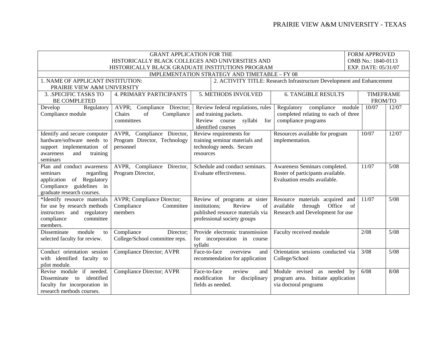|                                     | <b>GRANT APPLICATION FOR THE</b><br><b>FORM APPROVED</b> |                                               |                                                                        |                     |       |  |  |  |
|-------------------------------------|----------------------------------------------------------|-----------------------------------------------|------------------------------------------------------------------------|---------------------|-------|--|--|--|
|                                     | HISTORICALLY BLACK COLLEGES AND UNIVERSITIES AND         |                                               |                                                                        | OMB No.: 1840-0113  |       |  |  |  |
|                                     | HISTORICALLY BLACK GRADUATE INSTITUTIONS PROGRAM         |                                               |                                                                        | EXP. DATE: 05/31/07 |       |  |  |  |
|                                     |                                                          | IMPLEMENTATION STRATEGY AND TIMETABLE - FY 08 |                                                                        |                     |       |  |  |  |
| 1. NAME OF APPLICANT INSTITUTION:   |                                                          |                                               | 2. ACTIVITY TITLE: Research Infrastructure Development and Enhancement |                     |       |  |  |  |
| PRAIRIE VIEW A&M UNIVERSITY         |                                                          |                                               |                                                                        |                     |       |  |  |  |
| 3. SPECIFIC TASKS TO                | <b>4. PRIMARY PARTICIPANTS</b>                           | 5. METHODS INVOLVED                           | <b>6. TANGIBLE RESULTS</b>                                             | <b>TIMEFRAME</b>    |       |  |  |  |
| <b>BE COMPLETED</b>                 |                                                          |                                               |                                                                        | FROM/TO             |       |  |  |  |
| Regulatory<br>Develop               | AVPR; Compliance Director;                               | Review federal regulations, rules             | Regulatory compliance module                                           | 10/07               | 12/07 |  |  |  |
| Compliance module                   | Compliance<br>Chairs<br>of                               | and training packets.                         | completed relating to each of three                                    |                     |       |  |  |  |
|                                     | committees                                               | Review course<br>syllabi for                  | compliance programs                                                    |                     |       |  |  |  |
|                                     |                                                          | identified courses                            |                                                                        |                     |       |  |  |  |
| Identify and secure computer        | AVPR, Compliance Director,                               | Review requirements for                       | Resources available for program                                        | 10/07               | 12/07 |  |  |  |
| hardware/software needs to          | Program Director, Technology                             | training seminar materials and                | implementation.                                                        |                     |       |  |  |  |
| support implementation of           | personnel                                                | technology needs. Secure                      |                                                                        |                     |       |  |  |  |
| awareness<br>and<br>training        |                                                          | resources                                     |                                                                        |                     |       |  |  |  |
| seminars                            |                                                          |                                               |                                                                        |                     |       |  |  |  |
| Plan and conduct awareness          | AVPR, Compliance Director,                               | Schedule and conduct seminars.                | Awareness Seminars completed.                                          | 11/07               | 5/08  |  |  |  |
| regarding<br>seminars               | Program Director,                                        | Evaluate effectiveness.                       | Roster of participants available.                                      |                     |       |  |  |  |
| of Regulatory<br>application        |                                                          |                                               | Evaluation results available.                                          |                     |       |  |  |  |
| Compliance guidelines in            |                                                          |                                               |                                                                        |                     |       |  |  |  |
| graduate research courses.          |                                                          |                                               |                                                                        |                     |       |  |  |  |
| *Identify resource materials        | AVPR; Compliance Director;                               | Review of programs at sister                  | Resource materials acquired and                                        | 11/07               | 5/08  |  |  |  |
| for use by research methods         | Compliance<br>Committee                                  | Review<br>of<br>institutions;                 | available<br>Office<br>through                                         | of                  |       |  |  |  |
| instructors and regulatory          | members                                                  | published resource materials via              | Research and Development for use                                       |                     |       |  |  |  |
| compliance<br>committee<br>members. |                                                          | professional society groups                   |                                                                        |                     |       |  |  |  |
| module<br>Disseminate<br>to         | Compliance<br>Director;                                  | Provide electronic transmission               | Faculty received module                                                | 2/08                | 5/08  |  |  |  |
| selected faculty for review.        | College/School committee reps.                           | for incorporation in course                   |                                                                        |                     |       |  |  |  |
|                                     |                                                          | syllabi                                       |                                                                        |                     |       |  |  |  |
| Conduct orientation session         | <b>Compliance Director; AVPR</b>                         | Face-to-face<br>overview<br>and               | Orientation sessions conducted via                                     | 3/08                | 5/08  |  |  |  |
| with identified faculty to          |                                                          | recommendation for application                | College/School                                                         |                     |       |  |  |  |
| pilot module.                       |                                                          |                                               |                                                                        |                     |       |  |  |  |
| Revise module if needed.            | <b>Compliance Director; AVPR</b>                         | review<br>Face-to-face<br>and                 | Module revised as needed<br>by                                         | 6/08                | 8/08  |  |  |  |
| Disseminate to identified           |                                                          | modification for disciplinary                 | program area. Initiate application                                     |                     |       |  |  |  |
| faculty for incorporation in        |                                                          | fields as needed.                             | via doctoral programs                                                  |                     |       |  |  |  |
|                                     |                                                          |                                               |                                                                        |                     |       |  |  |  |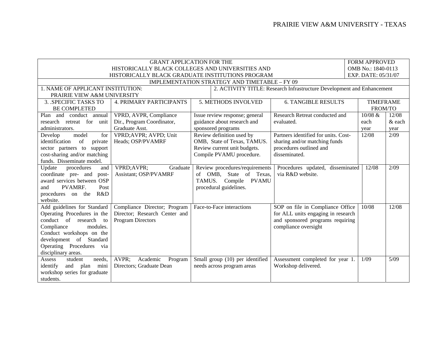| <b>GRANT APPLICATION FOR THE</b>                                                                            |                                |         |                                 |                                      |                     | <b>FORM APPROVED</b> |        |
|-------------------------------------------------------------------------------------------------------------|--------------------------------|---------|---------------------------------|--------------------------------------|---------------------|----------------------|--------|
| HISTORICALLY BLACK COLLEGES AND UNIVERSITIES AND                                                            |                                |         |                                 |                                      |                     | OMB No.: 1840-0113   |        |
| HISTORICALLY BLACK GRADUATE INSTITUTIONS PROGRAM                                                            |                                |         |                                 |                                      | EXP. DATE: 05/31/07 |                      |        |
| IMPLEMENTATION STRATEGY AND TIMETABLE - FY 09                                                               |                                |         |                                 |                                      |                     |                      |        |
| 1. NAME OF APPLICANT INSTITUTION:<br>2. ACTIVITY TITLE: Research Infrastructure Development and Enhancement |                                |         |                                 |                                      |                     |                      |        |
| PRAIRIE VIEW A&M UNIVERSITY                                                                                 |                                |         |                                 |                                      |                     |                      |        |
| 3. SPECIFIC TASKS TO                                                                                        | <b>4. PRIMARY PARTICIPANTS</b> |         | 5. METHODS INVOLVED             | <b>6. TANGIBLE RESULTS</b>           |                     | <b>TIMEFRAME</b>     |        |
| <b>BE COMPLETED</b>                                                                                         |                                |         |                                 |                                      |                     | FROM/TO              |        |
| Plan and conduct annual                                                                                     | VPRD, AVPR, Compliance         |         | Issue review response; general  | Research Retreat conducted and       |                     | 10/08 &              | 12/08  |
| research retreat for unit                                                                                   | Dir., Program Coordinator,     |         | guidance about research and     | evaluated.                           |                     | each                 | & each |
| administrators.                                                                                             | Graduate Asst.                 |         | sponsored programs              |                                      |                     | year                 | year   |
| model<br>for<br>Develop                                                                                     | VPRD; AVPR; AVPD; Unit         |         | Review definition used by       | Partners identified for units. Cost- |                     | 12/08                | 2/09   |
| identification<br>of<br>private                                                                             | Heads; OSP/PVAMRF              |         | OMB, State of Texas, TAMUS.     | sharing and/or matching funds        |                     |                      |        |
| sector partners to support                                                                                  |                                |         | Review current unit budgets.    | procedures outlined and              |                     |                      |        |
| cost-sharing and/or matching                                                                                |                                |         | Compile PVAMU procedure.        | disseminated.                        |                     |                      |        |
| funds. Disseminate model.                                                                                   |                                |         |                                 |                                      |                     |                      |        |
| Update<br>procedures<br>and                                                                                 | VPRD; AVPR;<br>Graduate        |         | Review procedures/requirements  | Procedures updated, disseminated     |                     | 12/08                | 2/09   |
| coordinate pre- and<br>post-                                                                                | Assistant; OSP/PVAMRF          | of OMB, | State of Texas,                 | via R&D website.                     |                     |                      |        |
| award services between OSP                                                                                  |                                | TAMUS.  | Compile<br><b>PVAMU</b>         |                                      |                     |                      |        |
| PVAMRF.<br>Post<br>and                                                                                      |                                |         | procedural guidelines.          |                                      |                     |                      |        |
| procedures on the R&D                                                                                       |                                |         |                                 |                                      |                     |                      |        |
| website.                                                                                                    |                                |         |                                 |                                      |                     |                      |        |
| Add guidelines for Standard                                                                                 | Compliance Director; Program   |         | Face-to-Face interactions       | SOP on file in Compliance Office     |                     | 10/08                | 12/08  |
| Operating Procedures in the                                                                                 | Director; Research Center and  |         |                                 | for ALL units engaging in research   |                     |                      |        |
| conduct of research<br>to                                                                                   | Program Directors              |         |                                 | and sponsored programs requiring     |                     |                      |        |
| Compliance<br>modules.                                                                                      |                                |         |                                 | compliance oversight                 |                     |                      |        |
| Conduct workshops on the                                                                                    |                                |         |                                 |                                      |                     |                      |        |
| development of Standard                                                                                     |                                |         |                                 |                                      |                     |                      |        |
| Operating Procedures via                                                                                    |                                |         |                                 |                                      |                     |                      |        |
| disciplinary areas.                                                                                         |                                |         |                                 |                                      |                     |                      |        |
| student<br>needs.<br>Assess                                                                                 | AVPR;<br>Academic<br>Program   |         | Small group (10) per identified | Assessment completed for year 1.     |                     | 1/09                 | 5/09   |
| identify<br>and plan mini                                                                                   | Directors; Graduate Dean       |         | needs across program areas      | Workshop delivered.                  |                     |                      |        |
| workshop series for graduate                                                                                |                                |         |                                 |                                      |                     |                      |        |
| students.                                                                                                   |                                |         |                                 |                                      |                     |                      |        |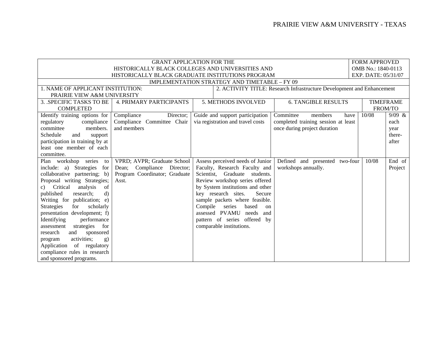|                                                                                                             | <b>FORM APPROVED</b>                                                                |                                   |                                     |         |                  |  |
|-------------------------------------------------------------------------------------------------------------|-------------------------------------------------------------------------------------|-----------------------------------|-------------------------------------|---------|------------------|--|
|                                                                                                             | OMB No.: 1840-0113                                                                  |                                   |                                     |         |                  |  |
| HISTORICALLY BLACK GRADUATE INSTITUTIONS PROGRAM                                                            | EXP. DATE: 05/31/07                                                                 |                                   |                                     |         |                  |  |
| <b>IMPLEMENTATION STRATEGY AND TIMETABLE - FY 09</b>                                                        |                                                                                     |                                   |                                     |         |                  |  |
| 1. NAME OF APPLICANT INSTITUTION:<br>2. ACTIVITY TITLE: Research Infrastructure Development and Enhancement |                                                                                     |                                   |                                     |         |                  |  |
| PRAIRIE VIEW A&M UNIVERSITY                                                                                 |                                                                                     |                                   |                                     |         |                  |  |
| <b>3. SPECIFIC TASKS TO BE</b>                                                                              | 5. METHODS INVOLVED<br><b>6. TANGIBLE RESULTS</b><br><b>4. PRIMARY PARTICIPANTS</b> |                                   |                                     |         | <b>TIMEFRAME</b> |  |
| <b>COMPLETED</b>                                                                                            |                                                                                     |                                   |                                     | FROM/TO |                  |  |
| Identify training options for                                                                               | Compliance<br>Director;                                                             | Guide and support participation   | Committee<br>members<br>have        | 10/08   | 9/09 &           |  |
| compliance<br>regulatory                                                                                    | Compliance Committee Chair                                                          | via registration and travel costs | completed training session at least |         | each             |  |
| committee<br>members.                                                                                       | and members                                                                         |                                   | once during project duration        |         | year             |  |
| Schedule<br>and<br>support                                                                                  |                                                                                     |                                   |                                     |         | there-           |  |
| participation in training by at                                                                             |                                                                                     |                                   |                                     |         | after            |  |
| least one member of each                                                                                    |                                                                                     |                                   |                                     |         |                  |  |
| committee.                                                                                                  |                                                                                     |                                   |                                     |         |                  |  |
| Plan workshop series<br>to                                                                                  | VPRD; AVPR; Graduate School                                                         | Assess perceived needs of Junior  | Defined and presented<br>two-four   | 10/08   | End of           |  |
| Strategies<br>include:<br>for<br>a)                                                                         | Compliance<br>Director;<br>Dean;                                                    | Faculty, Research Faculty and     | workshops annually.                 |         | Project          |  |
| collaborative partnering; b)                                                                                | Program Coordinator; Graduate                                                       | Scientist, Graduate students.     |                                     |         |                  |  |
| Proposal writing Strategies;                                                                                | Asst.                                                                               | Review workshop series offered    |                                     |         |                  |  |
| Critical<br>analysis<br>of<br>c)                                                                            |                                                                                     | by System institutions and other  |                                     |         |                  |  |
| $\mathbf{d}$<br>published<br>research;                                                                      |                                                                                     | key research sites.<br>Secure     |                                     |         |                  |  |
| Writing for publication; e)                                                                                 |                                                                                     | sample packets where feasible.    |                                     |         |                  |  |
| <b>Strategies</b><br>for<br>scholarly                                                                       |                                                                                     | Compile<br>series<br>based<br>on  |                                     |         |                  |  |
| presentation development; f)                                                                                |                                                                                     | assessed PVAMU<br>needs<br>and    |                                     |         |                  |  |
| Identifying<br>performance                                                                                  |                                                                                     | pattern of series offered by      |                                     |         |                  |  |
| strategies<br>for<br>assessment                                                                             |                                                                                     | comparable institutions.          |                                     |         |                  |  |
| and<br>sponsored<br>research                                                                                |                                                                                     |                                   |                                     |         |                  |  |
| activities;<br>program<br>g)                                                                                |                                                                                     |                                   |                                     |         |                  |  |
| of<br>Application<br>regulatory                                                                             |                                                                                     |                                   |                                     |         |                  |  |
| compliance rules in research                                                                                |                                                                                     |                                   |                                     |         |                  |  |
| and sponsored programs.                                                                                     |                                                                                     |                                   |                                     |         |                  |  |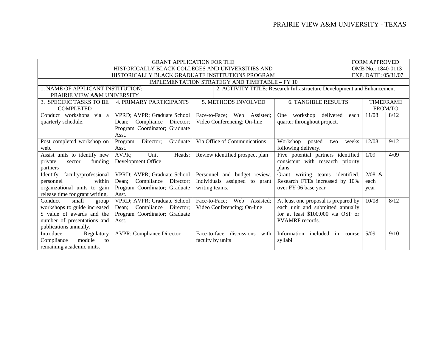| <b>FORM APPROVED</b><br><b>GRANT APPLICATION FOR THE</b>                                                    |                                                                                     |                                     |                                      |         |      |  |
|-------------------------------------------------------------------------------------------------------------|-------------------------------------------------------------------------------------|-------------------------------------|--------------------------------------|---------|------|--|
| HISTORICALLY BLACK COLLEGES AND UNIVERSITIES AND<br>OMB No.: 1840-0113                                      |                                                                                     |                                     |                                      |         |      |  |
| HISTORICALLY BLACK GRADUATE INSTITUTIONS PROGRAM<br>EXP. DATE: 05/31/07                                     |                                                                                     |                                     |                                      |         |      |  |
| <b>IMPLEMENTATION STRATEGY AND TIMETABLE - FY 10</b>                                                        |                                                                                     |                                     |                                      |         |      |  |
| 1. NAME OF APPLICANT INSTITUTION:<br>2. ACTIVITY TITLE: Research Infrastructure Development and Enhancement |                                                                                     |                                     |                                      |         |      |  |
| PRAIRIE VIEW A&M UNIVERSITY                                                                                 |                                                                                     |                                     |                                      |         |      |  |
| 3. SPECIFIC TASKS TO BE                                                                                     | <b>4. PRIMARY PARTICIPANTS</b><br>5. METHODS INVOLVED<br><b>6. TANGIBLE RESULTS</b> |                                     |                                      |         |      |  |
| <b>COMPLETED</b>                                                                                            |                                                                                     |                                     |                                      | FROM/TO |      |  |
| Conduct workshops via a                                                                                     | VPRD; AVPR; Graduate School                                                         | Face-to-Face:<br>Web<br>Assisted;   | One workshop delivered<br>each       | 11/08   | 8/12 |  |
| quarterly schedule.                                                                                         | Compliance<br>Director;<br>Dean:                                                    | Video Conferencing; On-line         | quarter throughout project.          |         |      |  |
|                                                                                                             | Program Coordinator; Graduate                                                       |                                     |                                      |         |      |  |
|                                                                                                             | Asst.                                                                               |                                     |                                      |         |      |  |
| Post completed workshop on                                                                                  | Director;<br>Graduate<br>Program                                                    | Via Office of Communications        | Workshop<br>weeks<br>posted<br>two   | 12/08   | 9/12 |  |
| web.                                                                                                        | Asst.                                                                               |                                     | following delivery.                  |         |      |  |
| Assist units to identify new                                                                                | AVPR;<br>Unit<br>Heads;                                                             | Review identified prospect plan     | Five potential partners identified   | 1/09    | 4/09 |  |
| funding<br>private<br>sector                                                                                | Development Office                                                                  |                                     | consistent with research priority    |         |      |  |
| partners                                                                                                    |                                                                                     |                                     | plans                                |         |      |  |
| faculty/professional<br>Identify                                                                            | VPRD; AVPR; Graduate School                                                         | Personnel and budget review.        | Grant writing teams identified.      | 2/08 &  |      |  |
| within<br>personnel                                                                                         | Compliance<br>Director:<br>Dean:                                                    | Individuals assigned to grant       | Research FTEs increased by 10%       | each    |      |  |
| organizational units to gain                                                                                | Program Coordinator; Graduate                                                       | writing teams.                      | over FY 06 base year                 | year    |      |  |
| release time for grant writing.                                                                             | Asst.                                                                               |                                     |                                      |         |      |  |
| small<br>Conduct<br>group                                                                                   | VPRD; AVPR; Graduate School                                                         | Face-to-Face; Web<br>Assisted;      | At least one proposal is prepared by | 10/08   | 8/12 |  |
| workshops to guide increased                                                                                | Compliance<br>Director;<br>Dean;                                                    | Video Conferencing; On-line         | each unit and submitted annually     |         |      |  |
| \$ value of awards and the                                                                                  | Program Coordinator; Graduate                                                       |                                     | for at least \$100,000 via OSP or    |         |      |  |
| number of presentations and                                                                                 | Asst.                                                                               |                                     | <b>PVAMRF</b> records.               |         |      |  |
| publications annually.                                                                                      |                                                                                     |                                     |                                      |         |      |  |
| Introduce<br>Regulatory                                                                                     | <b>AVPR</b> ; Compliance Director                                                   | Face-to-face<br>discussions<br>with | Information<br>included<br>in course | 5/09    | 9/10 |  |
| Compliance<br>module<br>to                                                                                  |                                                                                     | faculty by units                    | syllabi                              |         |      |  |
| remaining academic units.                                                                                   |                                                                                     |                                     |                                      |         |      |  |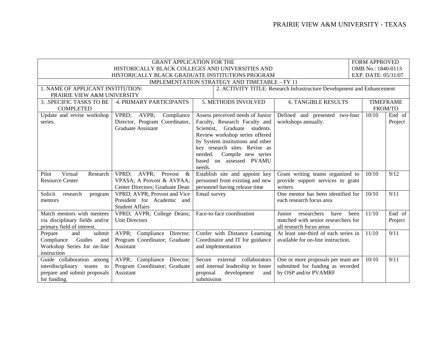| <b>GRANT APPLICATION FOR THE</b><br>HISTORICALLY BLACK COLLEGES AND UNIVERSITIES AND                        |                                                                                             |                                                                                                                                         |                                                                                                  |               | <b>FORM APPROVED</b><br>OMB No.: 1840-0113 |  |
|-------------------------------------------------------------------------------------------------------------|---------------------------------------------------------------------------------------------|-----------------------------------------------------------------------------------------------------------------------------------------|--------------------------------------------------------------------------------------------------|---------------|--------------------------------------------|--|
| EXP. DATE: 05/31/07<br>HISTORICALLY BLACK GRADUATE INSTITUTIONS PROGRAM                                     |                                                                                             |                                                                                                                                         |                                                                                                  |               |                                            |  |
| IMPLEMENTATION STRATEGY AND TIMETABLE - FY 11                                                               |                                                                                             |                                                                                                                                         |                                                                                                  |               |                                            |  |
| 1. NAME OF APPLICANT INSTITUTION:<br>2. ACTIVITY TITLE: Research Infrastructure Development and Enhancement |                                                                                             |                                                                                                                                         |                                                                                                  |               |                                            |  |
| PRAIRIE VIEW A&M UNIVERSITY                                                                                 |                                                                                             |                                                                                                                                         |                                                                                                  |               |                                            |  |
| 3. SPECIFIC TASKS TO BE                                                                                     | <b>4. PRIMARY PARTICIPANTS</b>                                                              | 5. METHODS INVOLVED<br><b>6. TANGIBLE RESULTS</b>                                                                                       |                                                                                                  |               | <b>TIMEFRAME</b>                           |  |
| <b>COMPLETED</b>                                                                                            |                                                                                             |                                                                                                                                         |                                                                                                  |               | FROM/TO                                    |  |
| Update and revise workshop<br>series.                                                                       | VPRD; AVPR;<br>Compliance<br>Director, Program Coordinator,<br><b>Graduate Assistant</b>    | Assess perceived needs of Junior<br>Faculty, Research Faculty and<br>Scientist, Graduate students.<br>Review workshop series offered    | Defined and presented two-four<br>workshops annually.                                            | 10/10         | End of<br>Project                          |  |
|                                                                                                             |                                                                                             | by System institutions and other<br>key research sites. Revise as<br>Compile new series<br>needed.<br>based on assessed PVAMU<br>needs. |                                                                                                  |               |                                            |  |
| Virtual<br>Pilot<br>Research<br><b>Resource Center</b>                                                      | VPRD; AVPR; Provost<br>$\&$<br>VPASA; A Provost & AVPAA;<br>Center Directors; Graduate Dean | Establish site and appoint key<br>personnel from existing and new<br>personnel having release time                                      | Grant writing teams organized to<br>provide support services to grant<br>writers                 | 10/10         | 9/12                                       |  |
| Solicit<br>research<br>program<br>mentors                                                                   | VPRD; AVPR; Provost and Vice<br>President for Academic and<br><b>Student Affairs</b>        | Email survey                                                                                                                            | One mentor has been identified for<br>each research focus area                                   | 10/10         | 9/11                                       |  |
| Match mentors with mentees<br>via disciplinary fields and/or<br>primary field of interest.                  | VPRD; AVPR; College Deans;<br><b>Unit Directors</b>                                         | Face-to-face coordination                                                                                                               | researchers<br>have<br>Junior<br>matched with senior researchers for<br>all research focus areas | 11/10<br>been | End of<br>Project                          |  |
| submit<br>Prepare<br>and<br>Guides<br>Compliance<br>and<br>Workshop Series for on-line<br>instruction       | AVPR; Compliance Director;<br>Program Coordinator; Graduate<br>Assistant                    | Confer with Distance Learning<br>Coordinator and IT for guidance<br>and implementation                                                  | At least one-third of each series in<br>available for on-line instruction.                       | 11/10         | 9/11                                       |  |
| Guide collaboration among<br>interdisciplinary teams to<br>prepare and submit proposals<br>for funding.     | AVPR; Compliance Director;<br>Program Coordinator; Graduate<br>Assistant                    | Secure external collaborators<br>and internal leadership to foster<br>development<br>proposal<br>and<br>submission                      | One or more proposals per team are<br>submitted for funding as recorded<br>by OSP and/or PVAMRF  | 10/10         | 9/11                                       |  |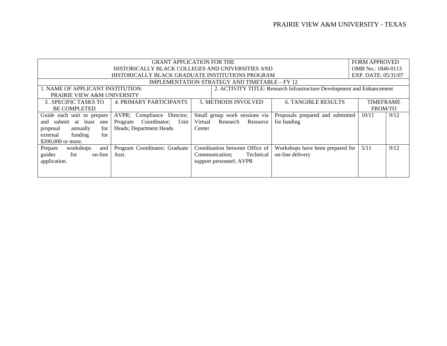| <b>GRANT APPLICATION FOR THE</b>                 |                                                                                                             |         |                                |                                  |                    | <b>FORM APPROVED</b> |  |
|--------------------------------------------------|-------------------------------------------------------------------------------------------------------------|---------|--------------------------------|----------------------------------|--------------------|----------------------|--|
| HISTORICALLY BLACK COLLEGES AND UNIVERSITIES AND |                                                                                                             |         |                                |                                  | OMB No.: 1840-0113 |                      |  |
| HISTORICALLY BLACK GRADUATE INSTITUTIONS PROGRAM |                                                                                                             |         |                                |                                  |                    | EXP. DATE: 05/31/07  |  |
|                                                  | IMPLEMENTATION STRATEGY AND TIMETABLE – FY 12                                                               |         |                                |                                  |                    |                      |  |
|                                                  | 1. NAME OF APPLICANT INSTITUTION:<br>2. ACTIVITY TITLE: Research Infrastructure Development and Enhancement |         |                                |                                  |                    |                      |  |
| PRAIRIE VIEW A&M UNIVERSITY                      |                                                                                                             |         |                                |                                  |                    |                      |  |
| 3. SPECIFIC TASKS TO                             | <b>4. PRIMARY PARTICIPANTS</b>                                                                              |         | <b>5. METHODS INVOLVED</b>     | <b>6. TANGIBLE RESULTS</b>       |                    | <b>TIMEFRAME</b>     |  |
| <b>BE COMPLETED</b>                              |                                                                                                             |         |                                |                                  |                    | <b>FROM/TO</b>       |  |
| Guide each unit to prepare                       | AVPR; Compliance Director,                                                                                  |         | Small group work sessions via  | Proposals prepared and submitted | 10/11              | 9/12                 |  |
| submit at least<br>and<br>one                    | Coordinator;<br>Unit<br>Program                                                                             | Virtual | Research<br>Resource           | for funding                      |                    |                      |  |
| annually<br>for<br>proposal                      | Heads; Department Heads                                                                                     | Center  |                                |                                  |                    |                      |  |
| funding<br>for<br>external                       |                                                                                                             |         |                                |                                  |                    |                      |  |
| \$200,000 or more.                               |                                                                                                             |         |                                |                                  |                    |                      |  |
| Prepare<br>workshops<br>and                      | Program Coordinator; Graduate                                                                               |         | Coordination between Office of | Workshops have been prepared for | 5/11               | 9/12                 |  |
| guides<br>for<br>on-line                         | Asst.                                                                                                       |         | Technical<br>Communication;    | on-line delivery                 |                    |                      |  |
| application.                                     |                                                                                                             |         | support personnel; AVPR        |                                  |                    |                      |  |
|                                                  |                                                                                                             |         |                                |                                  |                    |                      |  |
|                                                  |                                                                                                             |         |                                |                                  |                    |                      |  |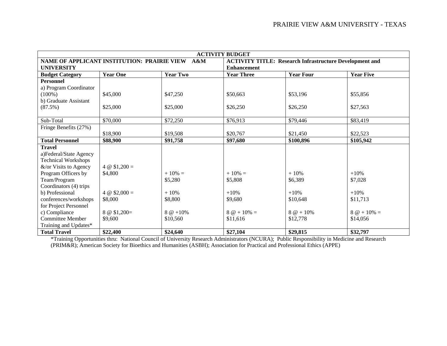| <b>ACTIVITY BUDGET</b>     |                                             |                 |                                                                |                   |                     |  |
|----------------------------|---------------------------------------------|-----------------|----------------------------------------------------------------|-------------------|---------------------|--|
|                            | NAME OF APPLICANT INSTITUTION: PRAIRIE VIEW | $A\&M$          | <b>ACTIVITY TITLE: Research Infrastructure Development and</b> |                   |                     |  |
| <b>UNIVERSITY</b>          |                                             |                 | <b>Enhancement</b>                                             |                   |                     |  |
| <b>Budget Category</b>     | <b>Year One</b>                             | <b>Year Two</b> | <b>Year Three</b>                                              | <b>Year Four</b>  | <b>Year Five</b>    |  |
| <b>Personnel</b>           |                                             |                 |                                                                |                   |                     |  |
| a) Program Coordinator     |                                             |                 |                                                                |                   |                     |  |
| $(100\%)$                  | \$45,000                                    | \$47,250        | \$50,663                                                       | \$53,196          | \$55,856            |  |
| b) Graduate Assistant      |                                             |                 |                                                                |                   |                     |  |
| (87.5%)                    | \$25,000                                    | \$25,000        | \$26,250                                                       | \$26,250          | \$27,563            |  |
|                            |                                             |                 |                                                                |                   |                     |  |
| Sub-Total                  | \$70,000                                    | \$72,250        | \$76,913                                                       | \$79,446          | \$83,419            |  |
| Fringe Benefits (27%)      |                                             |                 |                                                                |                   |                     |  |
|                            | \$18,900                                    | \$19,508        | \$20,767                                                       | \$21,450          | \$22,523            |  |
| <b>Total Personnel</b>     | \$88,900                                    | \$91,758        | \$97,680                                                       | \$100,896         | \$105,942           |  |
| <b>Travel</b>              |                                             |                 |                                                                |                   |                     |  |
| a)Federal/State Agency     |                                             |                 |                                                                |                   |                     |  |
| <b>Technical Workshops</b> |                                             |                 |                                                                |                   |                     |  |
| &/or Visits to Agency      | 4 $\omega$ \$1,200 =                        |                 |                                                                |                   |                     |  |
| Program Officers by        | \$4,800                                     | $+10\% =$       | $+10\% =$                                                      | $+10%$            | $+10%$              |  |
| Team/Program               |                                             | \$5,280         | \$5,808                                                        | \$6,389           | \$7,028             |  |
| Coordinators (4) trips     |                                             |                 |                                                                |                   |                     |  |
| b) Professional            | 4 @ $$2,000 =$                              | $+10%$          | $+10%$                                                         | $+10%$            | $+10%$              |  |
| conferences/workshops      | \$8,000                                     | \$8,800         | \$9,680                                                        | \$10,648          | \$11,713            |  |
| for Project Personnel      |                                             |                 |                                                                |                   |                     |  |
| c) Compliance              | $8 \circledcirc 1,200 =$                    | $8 @ +10\%$     | $8 \omega + 10\% =$                                            | $8 \omega + 10\%$ | $8 \omega + 10\% =$ |  |
| <b>Committee Member</b>    | \$9,600                                     | \$10,560        | \$11,616                                                       | \$12,778          | \$14,056            |  |
| Training and Updates*      |                                             |                 |                                                                |                   |                     |  |
| <b>Total Travel</b>        | \$22,400                                    | \$24,640        | \$27,104                                                       | \$29,815          | \$32,797            |  |

\*Training Opportunities thru: National Council of University Research Administrators (NCURA); Public Responsibility in Medicine and Research (PRIM&R); American Society for Bioethics and Humanities (ASBH); Association for Practical and Professional Ethics (APPE)